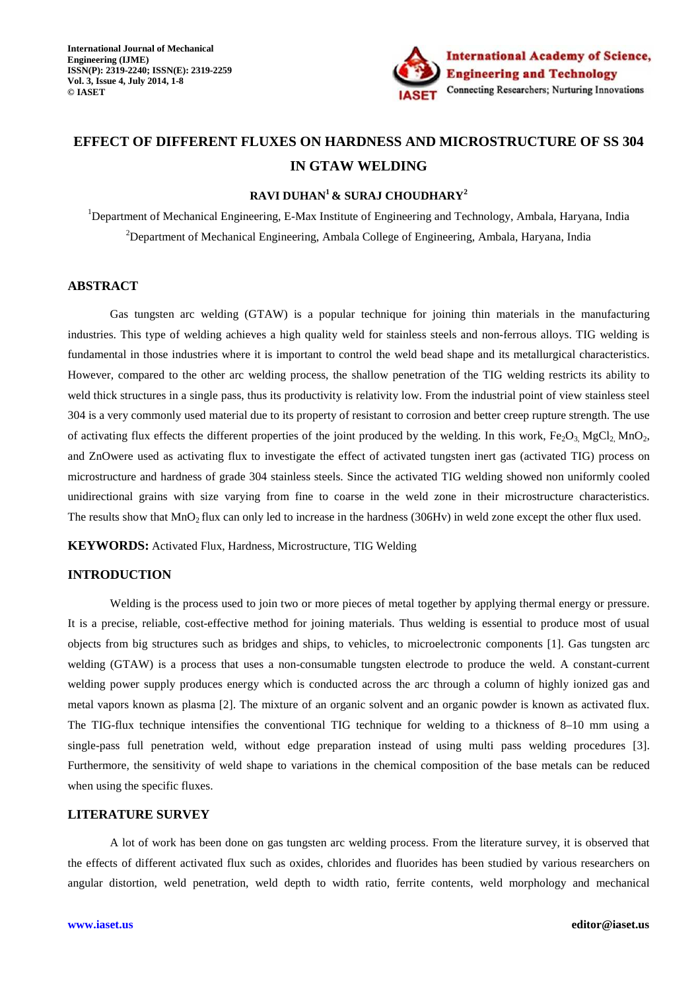

# **EFFECT OF DIFFERENT FLUXES ON HARDNESS AND MICROSTRUCTURE OF SS 304 IN GTAW WELDING**

### **RAVI DUHAN<sup>1</sup>& SURAJ CHOUDHARY<sup>2</sup>**

<sup>1</sup>Department of Mechanical Engineering, E-Max Institute of Engineering and Technology, Ambala, Haryana, India <sup>2</sup>Department of Mechanical Engineering, Ambala College of Engineering, Ambala, Haryana, India

#### **ABSTRACT**

Gas tungsten arc welding (GTAW) is a popular technique for joining thin materials in the manufacturing industries. This type of welding achieves a high quality weld for stainless steels and non-ferrous alloys. TIG welding is fundamental in those industries where it is important to control the weld bead shape and its metallurgical characteristics. However, compared to the other arc welding process, the shallow penetration of the TIG welding restricts its ability to weld thick structures in a single pass, thus its productivity is relativity low. From the industrial point of view stainless steel 304 is a very commonly used material due to its property of resistant to corrosion and better creep rupture strength. The use of activating flux effects the different properties of the joint produced by the welding. In this work, Fe<sub>2</sub>O<sub>3</sub>, MgCl<sub>2</sub>, MnO<sub>2</sub>, and ZnOwere used as activating flux to investigate the effect of activated tungsten inert gas (activated TIG) process on microstructure and hardness of grade 304 stainless steels. Since the activated TIG welding showed non uniformly cooled unidirectional grains with size varying from fine to coarse in the weld zone in their microstructure characteristics. The results show that  $MnO<sub>2</sub>$  flux can only led to increase in the hardness (306Hv) in weld zone except the other flux used.

**KEYWORDS:** Activated Flux, Hardness, Microstructure, TIG Welding

### **INTRODUCTION**

Welding is the process used to join two or more pieces of metal together by applying thermal energy or pressure. It is a precise, reliable, cost-effective method for joining materials. Thus welding is essential to produce most of usual objects from big structures such as bridges and ships, to vehicles, to microelectronic components [1]. Gas tungsten arc welding (GTAW) is a process that uses a non-consumable tungsten electrode to produce the weld. A constant-current welding power supply produces energy which is conducted across the arc through a column of highly ionized gas and metal vapors known as plasma [2]. The mixture of an organic solvent and an organic powder is known as activated flux. The TIG-flux technique intensifies the conventional TIG technique for welding to a thickness of 8–10 mm using a single-pass full penetration weld, without edge preparation instead of using multi pass welding procedures [3]. Furthermore, the sensitivity of weld shape to variations in the chemical composition of the base metals can be reduced when using the specific fluxes.

#### **LITERATURE SURVEY**

A lot of work has been done on gas tungsten arc welding process. From the literature survey, it is observed that the effects of different activated flux such as oxides, chlorides and fluorides has been studied by various researchers on angular distortion, weld penetration, weld depth to width ratio, ferrite contents, weld morphology and mechanical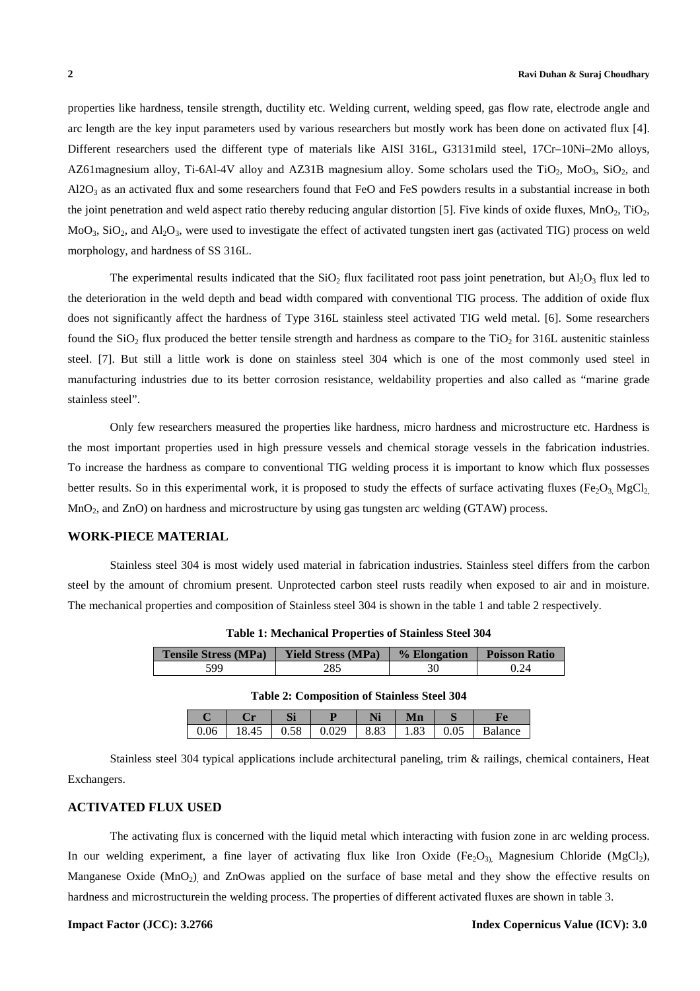properties like hardness, tensile strength, ductility etc. Welding current, welding speed, gas flow rate, electrode angle and arc length are the key input parameters used by various researchers but mostly work has been done on activated flux [4]. Different researchers used the different type of materials like AISI 316L, G3131mild steel, 17Cr–10Ni–2Mo alloys, AZ61 magnesium alloy, Ti-6Al-4V alloy and AZ31B magnesium alloy. Some scholars used the TiO<sub>2</sub>, MoO<sub>3</sub>, SiO<sub>2</sub>, and  $A$ l $2O_3$  as an activated flux and some researchers found that FeO and FeS powders results in a substantial increase in both the joint penetration and weld aspect ratio thereby reducing angular distortion [5]. Five kinds of oxide fluxes,  $MnO<sub>2</sub>$ ,  $TiO<sub>2</sub>$ ,  $MoO<sub>3</sub>$ , SiO<sub>2</sub>, and Al<sub>2</sub>O<sub>3</sub>, were used to investigate the effect of activated tungsten inert gas (activated TIG) process on weld morphology, and hardness of SS 316L.

The experimental results indicated that the  $SiO<sub>2</sub>$  flux facilitated root pass joint penetration, but Al<sub>2</sub>O<sub>3</sub> flux led to the deterioration in the weld depth and bead width compared with conventional TIG process. The addition of oxide flux does not significantly affect the hardness of Type 316L stainless steel activated TIG weld metal. [6]. Some researchers found the  $SiO<sub>2</sub>$  flux produced the better tensile strength and hardness as compare to the TiO<sub>2</sub> for 316L austenitic stainless steel. [7]. But still a little work is done on stainless steel 304 which is one of the most commonly used steel in manufacturing industries due to its better corrosion resistance, weldability properties and also called as "marine grade stainless steel".

Only few researchers measured the properties like hardness, micro hardness and microstructure etc. Hardness is the most important properties used in high pressure vessels and chemical storage vessels in the fabrication industries. To increase the hardness as compare to conventional TIG welding process it is important to know which flux possesses better results. So in this experimental work, it is proposed to study the effects of surface activating fluxes (Fe<sub>2</sub>O<sub>3</sub>, MgCl<sub>2</sub>) MnO<sub>2</sub>, and ZnO) on hardness and microstructure by using gas tungsten arc welding (GTAW) process.

#### **WORK-PIECE MATERIAL**

Stainless steel 304 is most widely used material in fabrication industries. Stainless steel differs from the carbon steel by the amount of chromium present. Unprotected carbon steel rusts readily when exposed to air and in moisture. The mechanical properties and composition of Stainless steel 304 is shown in the table 1 and table 2 respectively.

| <b>Tensile Stress (MPa)</b> | <b>Yield Stress (MPa)</b> | % Elongation | <b>Poisson Ratio</b> |
|-----------------------------|---------------------------|--------------|----------------------|
| 599                         | 285                       |              | 0.24                 |

**Table 1: Mechanical Properties of Stainless Steel 304** 

| <b>Table 2: Composition of Stainless Steel 304</b> |  |
|----------------------------------------------------|--|
|----------------------------------------------------|--|

|          |    | C1F<br>יט           |     | 11 J 1 | Mn   |     |         |
|----------|----|---------------------|-----|--------|------|-----|---------|
| $0.06\,$ | 43 | $\epsilon$<br>v. jo | 02Q | 8.83   | 1.83 | ∪.∪ | Balance |

Stainless steel 304 typical applications include architectural paneling, trim & railings, chemical containers, Heat Exchangers.

### **ACTIVATED FLUX USED**

The activating flux is concerned with the liquid metal which interacting with fusion zone in arc welding process. In our welding experiment, a fine layer of activating flux like Iron Oxide (Fe<sub>2</sub>O<sub>3)</sub>, Magnesium Chloride (MgCl<sub>2</sub>), Manganese Oxide (MnO<sub>2</sub>) and ZnOwas applied on the surface of base metal and they show the effective results on hardness and microstructurein the welding process. The properties of different activated fluxes are shown in table 3.

#### **Impact Factor (JCC): 3.2766 Index Copernicus Value (ICV): 3.0**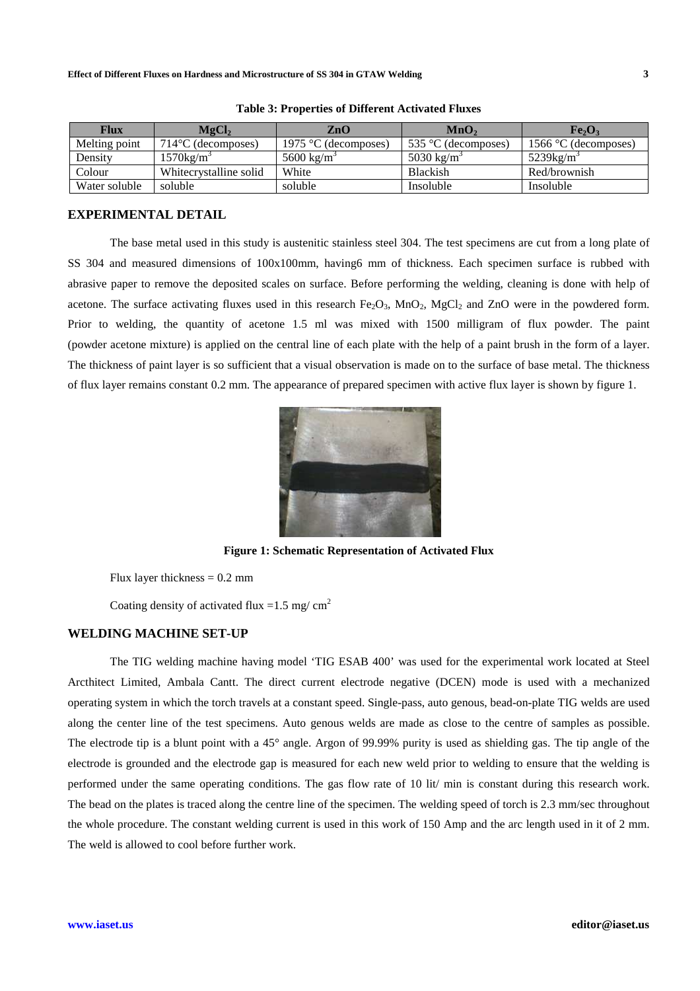| <b>Flux</b>   | MgCl <sub>2</sub>            | $\mathbf{ZnO}$         | MnO <sub>2</sub>       | Fe <sub>2</sub> O <sub>3</sub> |
|---------------|------------------------------|------------------------|------------------------|--------------------------------|
| Melting point | $714^{\circ}$ C (decomposes) | 1975 °C (decomposes)   | 535 °C (decomposes)    | 1566 $\degree$ C (decomposes)  |
| Density       | $1570$ kg/m <sup>3</sup>     | 5600 kg/m <sup>3</sup> | 5030 kg/m <sup>3</sup> | $5239$ kg/m <sup>3</sup>       |
| Colour        | Whitecrystalline solid       | White                  | <b>Blackish</b>        | Red/brownish                   |
| Water soluble | soluble                      | soluble                | Insoluble              | Insoluble                      |

**Table 3: Properties of Different Activated Fluxes** 

#### **EXPERIMENTAL DETAIL**

The base metal used in this study is austenitic stainless steel 304. The test specimens are cut from a long plate of SS 304 and measured dimensions of 100x100mm, having6 mm of thickness. Each specimen surface is rubbed with abrasive paper to remove the deposited scales on surface. Before performing the welding, cleaning is done with help of acetone. The surface activating fluxes used in this research  $Fe<sub>2</sub>O<sub>3</sub>$ , MnO<sub>2</sub>, MgCl<sub>2</sub> and ZnO were in the powdered form. Prior to welding, the quantity of acetone 1.5 ml was mixed with 1500 milligram of flux powder. The paint (powder acetone mixture) is applied on the central line of each plate with the help of a paint brush in the form of a layer. The thickness of paint layer is so sufficient that a visual observation is made on to the surface of base metal. The thickness of flux layer remains constant 0.2 mm. The appearance of prepared specimen with active flux layer is shown by figure 1.



**Figure 1: Schematic Representation of Activated Flux** 

Flux layer thickness  $= 0.2$  mm

Coating density of activated flux =  $1.5$  mg/ cm<sup>2</sup>

#### **WELDING MACHINE SET-UP**

The TIG welding machine having model 'TIG ESAB 400' was used for the experimental work located at Steel Arcthitect Limited, Ambala Cantt. The direct current electrode negative (DCEN) mode is used with a mechanized operating system in which the torch travels at a constant speed. Single-pass, auto genous, bead-on-plate TIG welds are used along the center line of the test specimens. Auto genous welds are made as close to the centre of samples as possible. The electrode tip is a blunt point with a 45° angle. Argon of 99.99% purity is used as shielding gas. The tip angle of the electrode is grounded and the electrode gap is measured for each new weld prior to welding to ensure that the welding is performed under the same operating conditions. The gas flow rate of 10 lit/ min is constant during this research work. The bead on the plates is traced along the centre line of the specimen. The welding speed of torch is 2.3 mm/sec throughout the whole procedure. The constant welding current is used in this work of 150 Amp and the arc length used in it of 2 mm. The weld is allowed to cool before further work.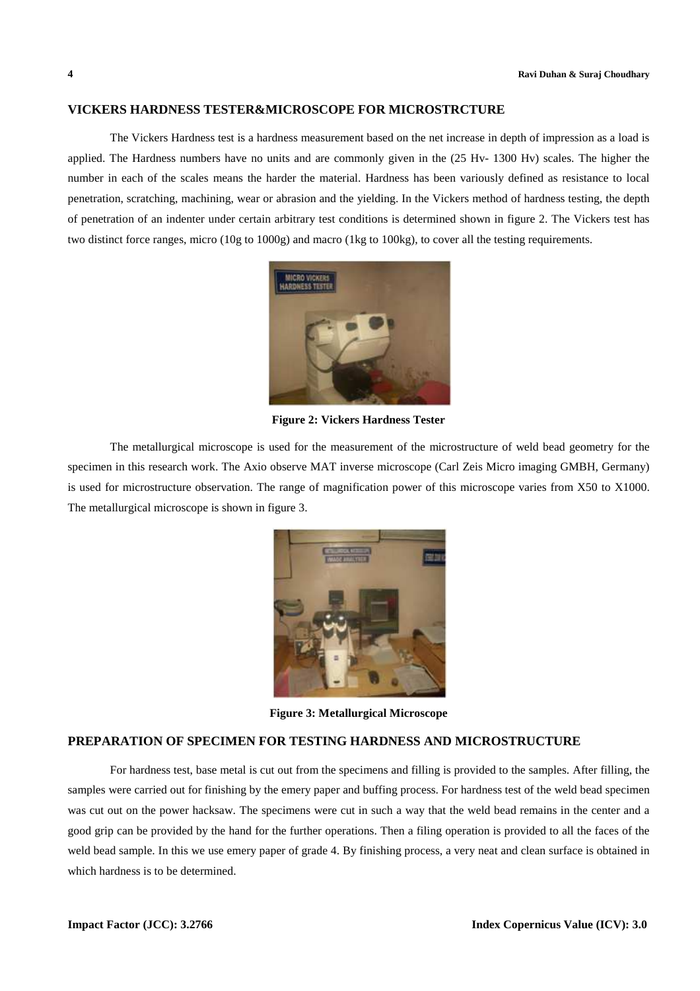#### **VICKERS HARDNESS TESTER&MICROSCOPE FOR MICROSTRCTURE**

The Vickers Hardness test is a hardness measurement based on the net increase in depth of impression as a load is applied. The Hardness numbers have no units and are commonly given in the (25 Hv- 1300 Hv) scales. The higher the number in each of the scales means the harder the material. Hardness has been variously defined as resistance to local penetration, scratching, machining, wear or abrasion and the yielding. In the Vickers method of hardness testing, the depth of penetration of an indenter under certain arbitrary test conditions is determined shown in figure 2. The Vickers test has two distinct force ranges, micro (10g to 1000g) and macro (1kg to 100kg), to cover all the testing requirements.



**Figure 2: Vickers Hardness Tester** 

The metallurgical microscope is used for the measurement of the microstructure of weld bead geometry for the specimen in this research work. The Axio observe MAT inverse microscope (Carl Zeis Micro imaging GMBH, Germany) is used for microstructure observation. The range of magnification power of this microscope varies from X50 to X1000. The metallurgical microscope is shown in figure 3.



**Figure 3: Metallurgical Microscope** 

## **PREPARATION OF SPECIMEN FOR TESTING HARDNESS AND MICROSTRUCTURE**

For hardness test, base metal is cut out from the specimens and filling is provided to the samples. After filling, the samples were carried out for finishing by the emery paper and buffing process. For hardness test of the weld bead specimen was cut out on the power hacksaw. The specimens were cut in such a way that the weld bead remains in the center and a good grip can be provided by the hand for the further operations. Then a filing operation is provided to all the faces of the weld bead sample. In this we use emery paper of grade 4. By finishing process, a very neat and clean surface is obtained in which hardness is to be determined.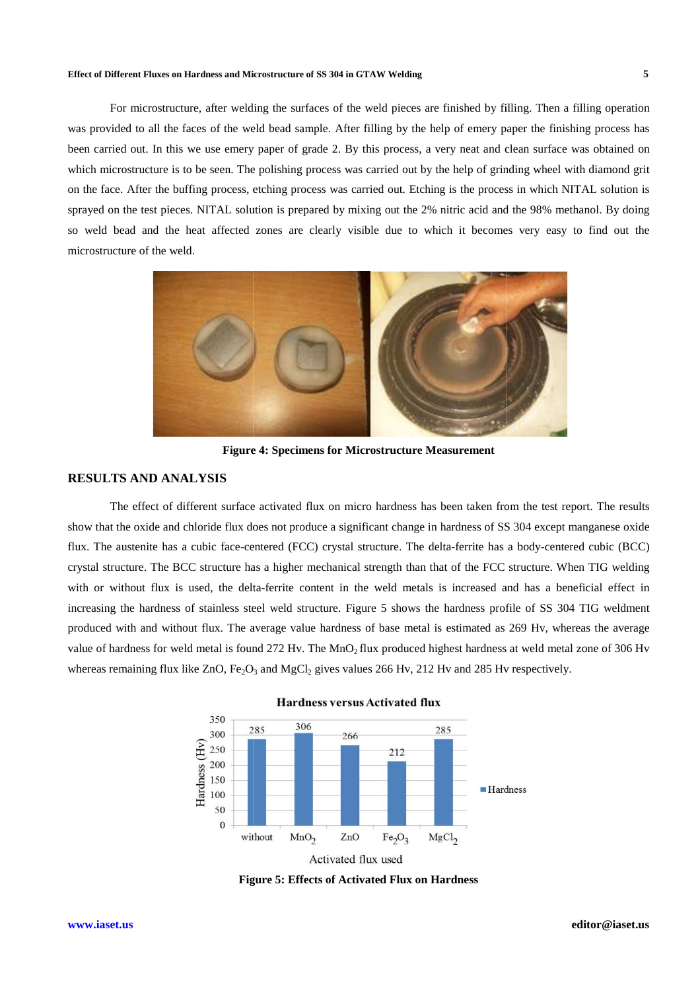#### **Effect of Different Fluxes on Hardness and Microstructure Microstructure of SS 304 in GTAW Welding**

For microstructure, after welding the surfaces of the weld pieces are finished by filling. Then a filling operation was provided to all the faces of the weld bead sample. After filling by the help of emery paper the finishing process has was provided to all the faces of the weld bead sample. After filling by the help of emery paper the finishing process has<br>been carried out. In this we use emery paper of grade 2. By this process, a very neat and clean surf which microstructure is to be seen. The polishing process was carried out by the help of grinding wheel with diamond grit on the face. After the buffing process, etching process was carried out. Etching is the process in which NITAL solution is sprayed on the test pieces. NITAL solution is prepared by mixing out the 2% nitric acid and the 98% methanol. By doing so weld bead and the heat affected zones are clearly visible due to which it becomes very easy to find out the microstructure of the weld.



**Figure 4: Specimens for Microstructure Measurement** 

#### **RESULTS AND ANALYSIS**

The effect of different surface activated flux on micro hardness has been taken from the test report. The results show that the oxide and chloride flux does not produce a significant change in hardness of SS 304 except manganese oxide flux. The austenite has a cubic face-centered (FCC) crystal structure. The delta-ferrite has a body-centered cubic (BCC) crystal structure. The BCC structure has a higher mechanical strength than that of the FCC structure. When T TIG welding with or without flux is used, the delta-ferrite content in the weld metals is increased and has a beneficial effect in increasing the hardness of stainless steel weld structure. Figure 5 shows the hardness profile of SS 304 TIG weldment produced with and without flux. The average value hardness of base metal is estimated as 269 Hv, whereas the average value of hardness for weld metal is found 272 Hv. The  $MnO_2$  flux produced highest hardness at weld metal zone of 306 Hv whereas remaining flux like  $ZnO$ ,  $Fe<sub>2</sub>O<sub>3</sub>$  and MgCl<sub>2</sub> gives values 266 Hv, 212 Hv and 285 Hv respectively. For the finished state and the state of the well prior as finished by filling process has the state of the state of the state of the state of the state of the state of the state of the state of the finished by the state o



**Figure 5 5: Effects of Activated Flux on Hardness**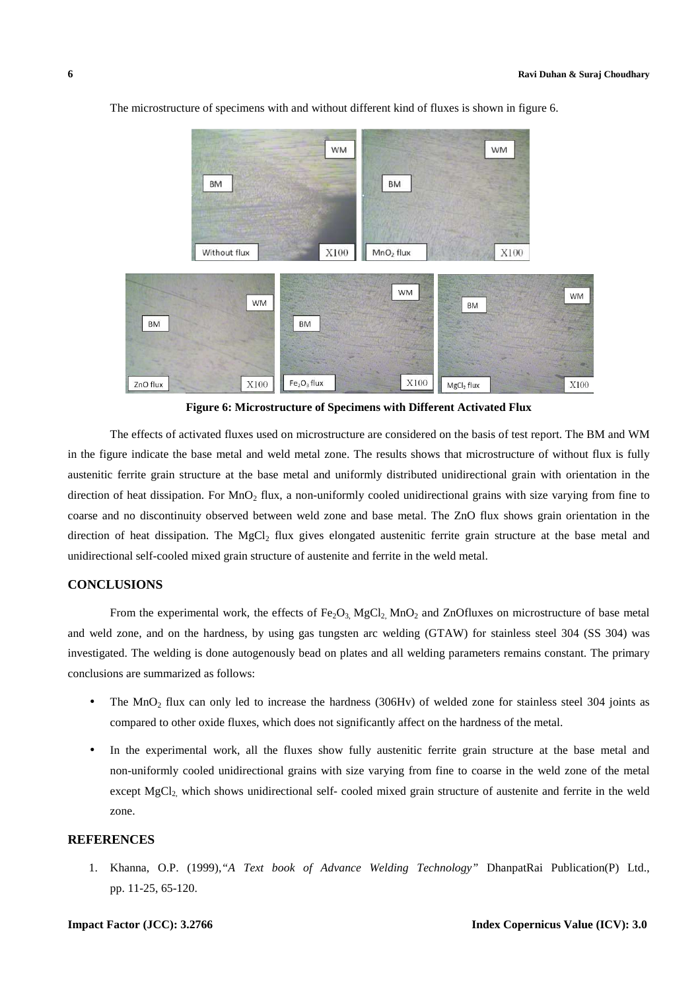

The microstructure of specimens with and without different kind of fluxes is shown in figure 6.

**Figure 6: Microstructure of Specimens with Different Activated Flux** 

The effects of activated fluxes used on microstructure are considered on the basis of test report. The BM and WM in the figure indicate the base metal and weld metal zone. The results shows that microstructure of without flux is fully austenitic ferrite grain structure at the base metal and uniformly distributed unidirectional grain with orientation in the direction of heat dissipation. For MnO<sub>2</sub> flux, a non-uniformly cooled unidirectional grains with size varying from fine to coarse and no discontinuity observed between weld zone and base metal. The ZnO flux shows grain orientation in the direction of heat dissipation. The  $MgCl<sub>2</sub>$  flux gives elongated austenitic ferrite grain structure at the base metal and unidirectional self-cooled mixed grain structure of austenite and ferrite in the weld metal.

#### **CONCLUSIONS**

From the experimental work, the effects of  $Fe<sub>2</sub>O<sub>3</sub>$ , MgCl<sub>2</sub>, MnO<sub>2</sub> and ZnOfluxes on microstructure of base metal and weld zone, and on the hardness, by using gas tungsten arc welding (GTAW) for stainless steel 304 (SS 304) was investigated. The welding is done autogenously bead on plates and all welding parameters remains constant. The primary conclusions are summarized as follows:

- The MnO<sub>2</sub> flux can only led to increase the hardness (306Hv) of welded zone for stainless steel 304 joints as compared to other oxide fluxes, which does not significantly affect on the hardness of the metal.
- In the experimental work, all the fluxes show fully austenitic ferrite grain structure at the base metal and non-uniformly cooled unidirectional grains with size varying from fine to coarse in the weld zone of the metal except MgCl<sub>2,</sub> which shows unidirectional self- cooled mixed grain structure of austenite and ferrite in the weld zone.

#### **REFERENCES**

1. Khanna, O.P. (1999),*"A Text book of Advance Welding Technology"* DhanpatRai Publication(P) Ltd., pp. 11-25, 65-120.